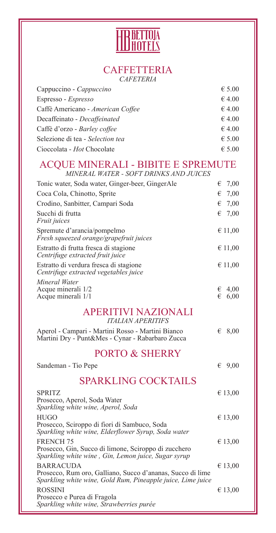

#### **CAFFETTERIA** *CAFETERIA*

| Cappuccino - Cappuccino           | $\epsilon$ 5.00 |
|-----------------------------------|-----------------|
| Espresso - Espresso               | €4.00           |
| Caffè Americano - American Coffee | €4.00           |
| Decaffeinato - Decaffeinated      | €4.00           |
| Caffè d'orzo - Barley coffee      | $\epsilon$ 4.00 |
| Selezione di tea - Selection tea  | $\epsilon$ 5.00 |
| Cioccolata - Hot Chocolate        | $\epsilon$ 5.00 |

### ACQUE MINERALI - BIBITE E SPREMUTE

*MINERAL WATER - SOFT DRINKS AND JUICES*

| Tonic water, Soda water, Ginger-beer, GingerAle                                                                                 | 7,00<br>€              |
|---------------------------------------------------------------------------------------------------------------------------------|------------------------|
| Coca Cola, Chinotto, Sprite                                                                                                     | 7,00<br>€              |
|                                                                                                                                 |                        |
| Crodino, Sanbitter, Campari Soda                                                                                                | 7,00<br>€              |
| Succhi di frutta<br>Fruit juices                                                                                                | 7,00<br>€              |
| Spremute d'arancia/pompelmo<br>Fresh squeezed orange/grapefruit juices                                                          | € 11,00                |
| Estratto di frutta fresca di stagione<br>Centrifuge extracted fruit juice                                                       | € 11,00                |
| Estratto di verdura fresca di stagione<br>Centrifuge extracted vegetables juice                                                 | € 11,00                |
| Mineral Water                                                                                                                   |                        |
| Acque minerali 1/2<br>Acque minerali 1/1                                                                                        | 4,00<br>€<br>6,00<br>€ |
| <b>APERITIVI NAZIONALI</b><br><b>ITALIAN APERITIFS</b>                                                                          |                        |
| Aperol - Campari - Martini Rosso - Martini Bianco<br>Martini Dry - Punt&Mes - Cynar - Rabarbaro Zucca                           | 8,00<br>€              |
| <b>PORTO &amp; SHERRY</b>                                                                                                       |                        |
| Sandeman - Tio Pepe                                                                                                             | 9,00<br>€              |
| <b>SPARKLING COCKTAILS</b>                                                                                                      |                        |
| <b>SPRITZ</b><br>Prosecco, Aperol, Soda Water<br>Sparkling white wine, Aperol, Soda                                             | € 13,00                |
| <b>HUGO</b><br>Prosecco, Sciroppo di fiori di Sambuco, Soda<br>Sparkling white wine, Elderflower Syrup, Soda water              | € 13,00                |
| <b>FRENCH 75</b><br>Prosecco, Gin, Succo di limone, Sciroppo di zucchero<br>Sparkling white wine, Gin, Lemon juice, Sugar syrup | € 13,00                |
| <b>BARRACUDA</b>                                                                                                                | € 13,00                |

Prosecco, Rum oro, Galliano, Succo d'ananas, Succo di lime *Sparkling white wine, Gold Rum, Pineapple juice, Lime juice* ROSSINI  $\epsilon$  13,00 Prosecco e Purea di Fragola *Sparkling white wine, Strawberries purée*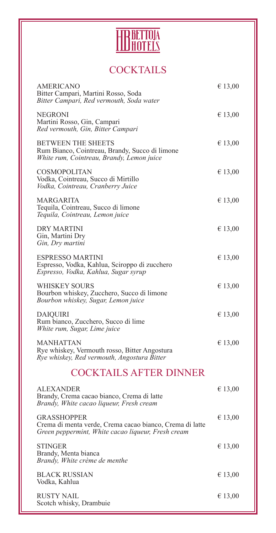

# **COCKTAILS**

| <b>AMERICANO</b><br>Bitter Campari, Martini Rosso, Soda<br>Bitter Campari, Red vermouth, Soda water                                  | € 13,00 |
|--------------------------------------------------------------------------------------------------------------------------------------|---------|
| <b>NEGRONI</b><br>Martini Rosso, Gin, Campari<br>Red vermouth, Gin, Bitter Campari                                                   | € 13,00 |
| <b>BETWEEN THE SHEETS</b><br>Rum Bianco, Cointreau, Brandy, Succo di limone<br>White rum, Cointreau, Brandy, Lemon juice             | € 13,00 |
| <b>COSMOPOLITAN</b><br>Vodka, Cointreau, Succo di Mirtillo<br>Vodka, Cointreau, Cranberry Juice                                      | € 13,00 |
| <b>MARGARITA</b><br>Tequila, Cointreau, Succo di limone<br>Tequila, Cointreau, Lemon juice                                           | € 13,00 |
| <b>DRY MARTINI</b><br>Gin, Martini Dry<br>Gin, Dry martini                                                                           | € 13,00 |
| <b>ESPRESSO MARTINI</b><br>Espresso, Vodka, Kahlua, Sciroppo di zucchero<br>Espresso, Vodka, Kahlua, Sugar syrup                     | € 13,00 |
| <b>WHISKEY SOURS</b><br>Bourbon whiskey, Zucchero, Succo di limone<br>Bourbon whiskey, Sugar, Lemon juice                            | € 13,00 |
| <b>DAIQUIRI</b><br>Rum bianco, Zucchero, Succo di lime<br>White rum, Sugar, Lime juice                                               | € 13,00 |
| <b>MANHATTAN</b><br>Rye whiskey, Vermouth rosso, Bitter Angostura<br>Rye whiskey, Red vermouth, Angostura Bitter                     | € 13,00 |
| <b>COCKTAILS AFTER DINNER</b>                                                                                                        |         |
| <b>ALEXANDER</b><br>Brandy, Crema cacao bianco, Crema di latte<br>Brandy, White cacao liqueur, Fresh cream                           | € 13,00 |
| <b>GRASSHOPPER</b><br>Crema di menta verde, Crema cacao bianco, Crema di latte<br>Green peppermint, White cacao liqueur, Fresh cream | € 13,00 |
| <b>STINGER</b><br>Brandy, Menta bianca<br>Brandy, White crème de menthe                                                              | € 13,00 |
| <b>BLACK RUSSIAN</b><br>Vodka, Kahlua                                                                                                | € 13,00 |
| <b>RUSTY NAIL</b><br>Scotch whisky, Drambuie                                                                                         | € 13,00 |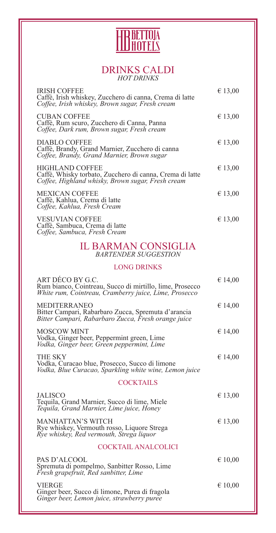

#### DRINKS CALDI *HOT DRINKS*

| <b>IRISH COFFEE</b><br>Caffè, Irish whiskey, Zucchero di canna, Crema di latte<br>Coffee, Irish whiskey, Brown sugar, Fresh cream       | € 13,00   |
|-----------------------------------------------------------------------------------------------------------------------------------------|-----------|
| <b>CUBAN COFFEE</b><br>Caffè, Rum scuro, Zucchero di Canna, Panna<br>Coffee, Dark rum, Brown sugar, Fresh cream                         | € 13,00   |
| DIABLO COFFEE<br>Caffè, Brandy, Grand Marnier, Zucchero di canna<br>Coffee, Brandy, Grand Marnier, Brown sugar                          | € 13,00   |
| <b>HIGHLAND COFFEE</b><br>Caffè, Whisky torbato, Zucchero di canna, Crema di latte<br>Coffee, Highland whisky, Brown sugar, Fresh cream | € 13,00   |
| <b>MEXICAN COFFEE</b><br>Caffè, Kahlua, Crema di latte<br>Coffee, Kahlua, Fresh Cream                                                   | € 13,00   |
| <b>VESUVIAN COFFEE</b><br>Caffè, Sambuca, Crema di latte<br>Coffee, Sambuca, Fresh Cream                                                | € 13,00   |
| <b>IL BARMAN CONSIGLIA</b><br><b>BARTENDER SUGGESTION</b>                                                                               |           |
| <b>LONG DRINKS</b>                                                                                                                      |           |
| ART DÉCO BY G.C.<br>Rum bianco, Cointreau, Succo di mirtillo, lime, Prosecco<br>White rum, Cointreau, Cramberry juice, Lime, Prosecco   | € 14,00   |
| <b>MEDITERRANEO</b><br>Bitter Campari, Rabarbaro Zucca, Spremuta d'arancia<br>Bitter Campari, Rabarbaro Zucca, Fresh orange juice       | € 14,00   |
| <b>MOSCOW MINT</b><br>Vodka, Ginger beer, Peppermint green, Lime<br>Vodka, Ginger beer, Green peppermint, Lime                          | € 14,00   |
| THE SKY<br>Vodka, Curacao blue, Prosecco, Succo di limone<br>Vodka, Blue Curacao, Sparkling white wine, Lemon juice                     | € 14,00   |
| <b>COCKTAILS</b>                                                                                                                        |           |
| <b>JALISCO</b><br>Tequila, Grand Marnier, Succo di lime, Miele<br>Tequila, Grand Marnier, Lime juice, Honey                             | € 13,00   |
| <b>MANHATTAN'S WITCH</b><br>Rye whiskey, Vermouth rosso, Liquore Strega<br>Rye whiskey, Red vermouth, Strega liquor                     | € 13,00   |
| <b>COCKTAIL ANALCOLICI</b>                                                                                                              |           |
| PAS D'ALCOOL<br>Spremuta di pompelmo, Sanbitter Rosso, Lime<br>Fresh grapefruit, Red sanbitter, Lime                                    | € 10,00   |
| <b>VIERGE</b><br>Ginger beer, Succo di limone, Purea di fragola<br>Ginger beer, Lemon juice, strawberry puree                           | € $10,00$ |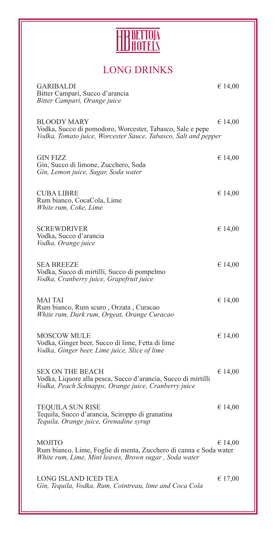

# LONG DRINKS

| <b>GARIBALDI</b><br>Bitter Campari, Succo d'arancia<br>Bitter Campari, Orange juice                                                               | € 14,00 |
|---------------------------------------------------------------------------------------------------------------------------------------------------|---------|
| <b>BLOODY MARY</b><br>Vodka, Succo di pomodoro, Worcester, Tabasco, Sale e pepe<br>Vodka, Tomato juice, Worcester Sauce, Tabasco, Salt and pepper | € 14,00 |
| <b>GIN FIZZ</b><br>Gin, Succo di limone, Zucchero, Soda<br>Gin, Lemon juice, Sugar, Soda water                                                    | € 14,00 |
| <b>CUBA LIBRE</b><br>Rum bianco, CocaCola, Lime<br>White rum, Coke, Lime                                                                          | € 14,00 |
| <b>SCREWDRIVER</b><br>Vodka, Succo d'arancia<br>Vodka, Orange juice                                                                               | € 14,00 |
| <b>SEA BREEZE</b><br>Vodka, Succo di mirtilli, Succo di pompelmo<br>Vodka, Cranberry juice, Grapefruit juice                                      | € 14,00 |
| <b>MAI TAI</b><br>Rum bianco, Rum scuro, Orzata, Curacao<br>White rum, Dark rum, Orgeat, Orange Curacao                                           | € 14,00 |
| <b>MOSCOW MULE</b><br>Vodka, Ginger beer, Succo di lime, Fetta di lime<br>Vodka, Ginger beer, Lime juice, Slice of lime                           | € 14,00 |
| <b>SEX ON THE BEACH</b><br>Vodka, Liquore alla pesca, Succo d'arancia, Succo di mirtilli<br>Vodka, Peach Schnapps, Orange juice, Cranberry juice  | € 14,00 |
| <b>TEQUILA SUN RISE</b><br>Tequila, Succo d'arancia, Sciroppo di granatina<br>Tequila, Orange juice, Grenadine syrup                              | € 14,00 |
| <b>MOJITO</b><br>Rum bianco, Lime, Foglie di menta, Zucchero di canna e Soda water<br>White rum, Lime, Mint leaves, Brown sugar, Soda water       | € 14,00 |
| <b>LONG ISLAND ICED TEA</b><br>Gin, Tequila, Vodka, Rum, Cointreau, lime and Coca Cola                                                            | € 17,00 |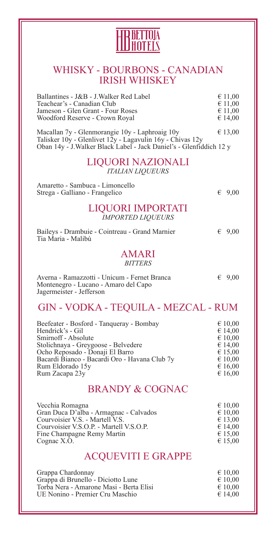

### WHISKY - BOURBONS - CANADIAN IRISH WHISKEY

| <b>BRANDY &amp; COGNAC</b>                                                                                                                                                                                                                           |   |                                                                                      |
|------------------------------------------------------------------------------------------------------------------------------------------------------------------------------------------------------------------------------------------------------|---|--------------------------------------------------------------------------------------|
| Beefeater - Bosford - Tanqueray - Bombay<br>Hendrick's - Gil<br>Smirnoff - Absolute<br>Stolichnaya - Greygoose - Belvedere<br>Ocho Reposado - Donaji El Barro<br>Bacardi Bianco - Bacardi Oro - Havana Club 7y<br>Rum Eldorado 15y<br>Rum Zacapa 23y |   | € 10,00<br>€ 14,00<br>€ 10,00<br>€ 14,00<br>€ 15,00<br>€ 10,00<br>€ 16,00<br>€ 16,00 |
| <b>GIN - VODKA - TEQUILA - MEZCAL - RUM</b>                                                                                                                                                                                                          |   |                                                                                      |
| Averna - Ramazzotti - Unicum - Fernet Branca<br>Montenegro - Lucano - Amaro del Capo<br>Jagermeister - Jefferson                                                                                                                                     | € | 9,00                                                                                 |
| AMARI<br><b>BITTERS</b>                                                                                                                                                                                                                              |   |                                                                                      |
| Baileys - Drambuie - Cointreau - Grand Marnier<br>Tia Maria - Malibù                                                                                                                                                                                 |   | 69,00                                                                                |
| LIQUORI IMPORTATI<br><b>IMPORTED LIQUEURS</b>                                                                                                                                                                                                        |   |                                                                                      |
| Amaretto - Sambuca - Limoncello<br>Strega - Galliano - Frangelico                                                                                                                                                                                    | € | 9,00                                                                                 |
| LIQUORI NAZIONALI<br><b>ITALIAN LIQUEURS</b>                                                                                                                                                                                                         |   |                                                                                      |
| Talisker $10y$ - Glenlivet $12y$ - Lagavulin $16y$ - Chivas $12y$<br>Oban 14y - J. Walker Black Label - Jack Daniel's - Glenfiddich 12 y                                                                                                             |   |                                                                                      |
| Macallan 7y - Glenmorangie 10y - Laphroaig 10y                                                                                                                                                                                                       |   | € 13,00                                                                              |
| Ballantines - J&B - J. Walker Red Label<br>Teachear's - Canadian Club<br>Jameson - Glen Grant - Four Roses<br>Woodford Reserve - Crown Royal                                                                                                         |   | € 11,00<br>€ 11,00<br>€ 11,00<br>€ 14,00                                             |

| Vecchia Romagna                         | $\epsilon$ 10,00 |
|-----------------------------------------|------------------|
| Gran Duca D'alba - Armagnac - Calvados  | $\epsilon$ 10,00 |
| Courvoisier V.S. - Martell V.S.         | € 13,00          |
| Courvoisier V.S.O.P. - Martell V.S.O.P. | € 14,00          |
| Fine Champagne Remy Martin              | € 15,00          |
| Cognac X.O.                             | € 15,00          |
|                                         |                  |

## ACQUEVITI E GRAPPE

| Grappa Chardonnay                       | $\epsilon$ 10,00 |
|-----------------------------------------|------------------|
| Grappa di Brunello - Diciotto Lune      | $\epsilon$ 10,00 |
| Torba Nera - Amarone Masi - Berta Elisi | $\epsilon$ 10.00 |
| UE Nonino - Premier Cru Maschio         | $\epsilon$ 14.00 |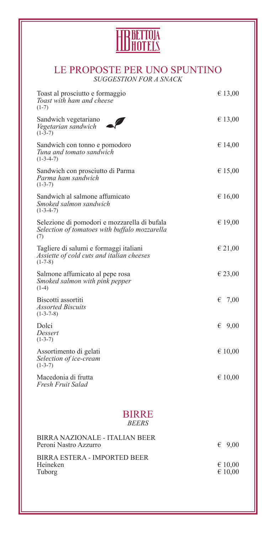

#### LE PROPOSTE PER UNO SPUNTINO *SUGGESTION FOR A SNACK*

| Toast al prosciutto e formaggio<br>Toast with ham and cheese<br>$(1-7)$                              | € 13,00                     |
|------------------------------------------------------------------------------------------------------|-----------------------------|
| Sandwich vegetariano<br>Vegetarian sandwich<br>$(1-3-7)$                                             | € 13,00                     |
| Sandwich con tonno e pomodoro<br>Tuna and tomato sandwich<br>$(1-3-4-7)$                             | € 14,00                     |
| Sandwich con prosciutto di Parma<br>Parma ham sandwich<br>$(1-3-7)$                                  | € 15,00                     |
| Sandwich al salmone affumicato<br>Smoked salmon sandwich<br>$(1-3-4-7)$                              | € 16,00                     |
| Selezione di pomodori e mozzarella di bufala<br>Selection of tomatoes with buffalo mozzarella<br>(7) | € 19,00                     |
| Tagliere di salumi e formaggi italiani<br>Assiette of cold cuts and italian cheeses<br>$(1-7-8)$     | € 21,00                     |
| Salmone affumicato al pepe rosa<br>Smoked salmon with pink pepper<br>$(1-4)$                         | € 23,00                     |
| Biscotti assortiti<br><b>Assorted Biscuits</b><br>$(1-3-7-8)$                                        | 7,00<br>€                   |
| Dolci<br>Dessert<br>$(1-3-7)$                                                                        | 9,00<br>€                   |
| Assortimento di gelati<br>Selection of ice-cream<br>$(1-3-7)$                                        | € 10,00                     |
| Macedonia di frutta<br>Fresh Fruit Salad                                                             | € 10,00                     |
| <b>BIRRE</b>                                                                                         |                             |
| <b>BEERS</b>                                                                                         |                             |
| <b>BIRRA NAZIONALE - ITALIAN BEER</b><br>Peroni Nastro Azzurro                                       | 69,00                       |
| <b>BIRRA ESTERA - IMPORTED BEER</b><br>Heineken<br>Tuborg                                            | € 10,00<br>$\epsilon$ 10,00 |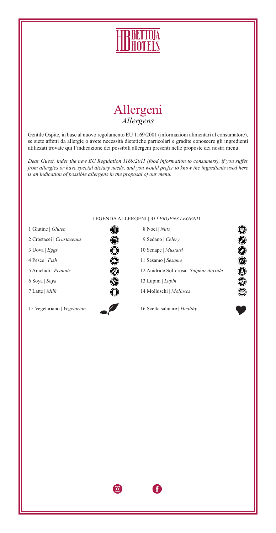



Gentile Ospite, in base al nuovo regolamento EU 1169/2001 (informazioni alimentari al consumatore), se siete affetti da allergie o avete necessità dietetiche particolari e gradite conoscere gli ingredienti utilizzati trovate qui l'indicazione dei possibili allergeni presenti nelle proposte dei nostri menu.

*Dear Guest, inder the new EU Regulation 1169/2011 (food information to consumers), if you suffer from allergies or have special dietary needs, and you would prefer to know the ingredients used here is an indication of possible allergens in the proposal of our menu.*

| LEGENDA ALLERGENI   ALLERGENS LEGEND |                                              |
|--------------------------------------|----------------------------------------------|
| 1 Glutine   Gluten                   | 8 Noci   Nuts                                |
| 2 Crostacei   Crustaceans            | 9 Sedano   Celery<br>P)                      |
| $3$ Uova   <i>Eggs</i>               | 10 Senape   Mustard                          |
| 4 Pesce   Fish                       | 11 Sesamo   Sesame<br>Ð                      |
| 5 Arachidi   Peanuts                 | O<br>12 Anidride Solforosa   Sulphur dioxide |
| 6 Soya   Soya                        | 13 Lupini   Lupin<br>Ø                       |
| 7 Latte   Milk                       | 14 Molluschi   Molluscs                      |
| 15 Vegetariano   Vegetarian          | 16 Scelta salutare   Healthy                 |

 $\textcircled{\scriptsize{\textsf{G}}}$